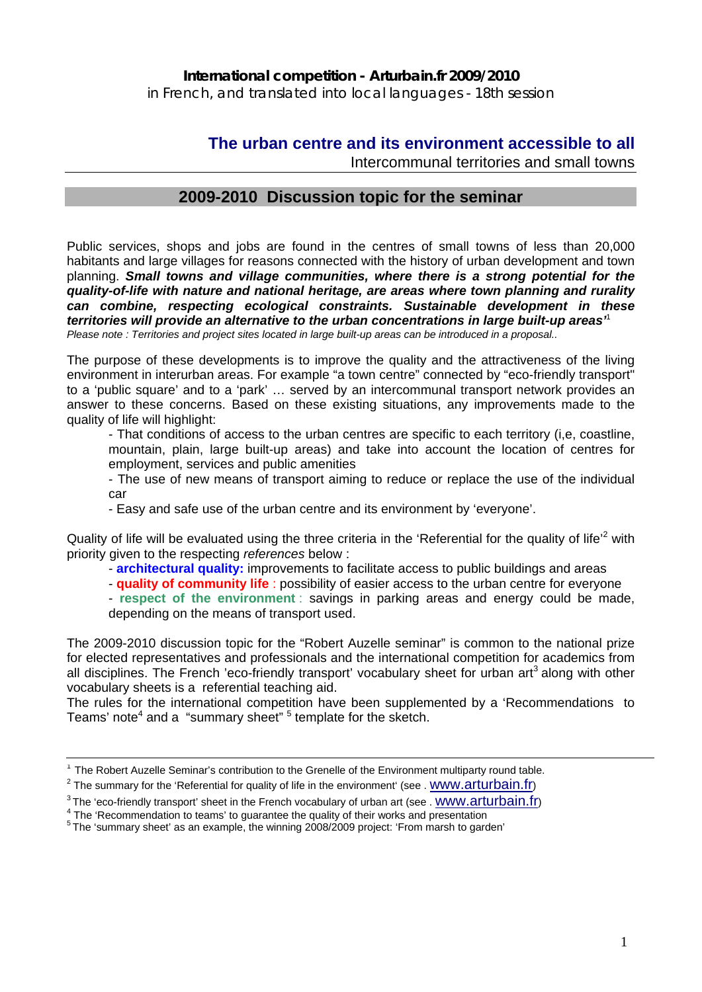in French, and translated into local languages - 18th session

# **The urban centre and its environment accessible to all**

Intercommunal territories and small towns

# **2009-2010 Discussion topic for the seminar**

Public services, shops and jobs are found in the centres of small towns of less than 20,000 habitants and large villages for reasons connected with the history of urban development and town planning. *Small towns and village communities, where there is a strong potential for the quality-of-life with nature and national heritage, are areas where town planning and rurality can combine, respecting ecological constraints. Sustainable development in these territories will provide an alternative to the urban concentrations in large built-up areas'*<sup>1</sup> *Please note : Territories and project sites located in large built-up areas can be introduced in a proposal..* 

The purpose of these developments is to improve the quality and the attractiveness of the living environment in interurban areas. For example "a town centre" connected by "eco-friendly transport" to a 'public square' and to a 'park' … served by an intercommunal transport network provides an answer to these concerns. Based on these existing situations, any improvements made to the quality of life will highlight:

- That conditions of access to the urban centres are specific to each territory (i,e, coastline, mountain, plain, large built-up areas) and take into account the location of centres for employment, services and public amenities

- The use of new means of transport aiming to reduce or replace the use of the individual car

- Easy and safe use of the urban centre and its environment by 'everyone'.

Quality of life will be evaluated using the three criteria in the 'Referential for the quality of life<sup>12</sup> with priority given to the respecting *references* below :

- **architectural quality:** improvements to facilitate access to public buildings and areas
- **quality of community life** : possibility of easier access to the urban centre for everyone
- **respect of the environment** : savings in parking areas and energy could be made, depending on the means of transport used.

The 2009-2010 discussion topic for the "Robert Auzelle seminar" is common to the national prize for elected representatives and professionals and the international competition for academics from all disciplines. The French 'eco-friendly transport' vocabulary sheet for urban art<sup>3</sup> along with other vocabulary sheets is a referential teaching aid.

The rules for the international competition have been supplemented by a 'Recommendations to Teams' note<sup>4</sup> and a "summary sheet" <sup>5</sup> template for the sketch.

<sup>&</sup>lt;sup>1</sup> The Robert Auzelle Seminar's contribution to the Grenelle of the Environment multiparty round table.

 $2$  The summary for the 'Referential for quality of life in the environment' (see . WWW.arturbain.fr)

<sup>&</sup>lt;sup>3</sup> The 'eco-friendly transport' sheet in the French vocabulary of urban art (see . WWW.arturbain.fr)  $4$  The 'Recommendation to teams' to guarantee the quality of their works and presentation

 $5$  The 'summary sheet' as an example, the winning 2008/2009 project: 'From marsh to garden'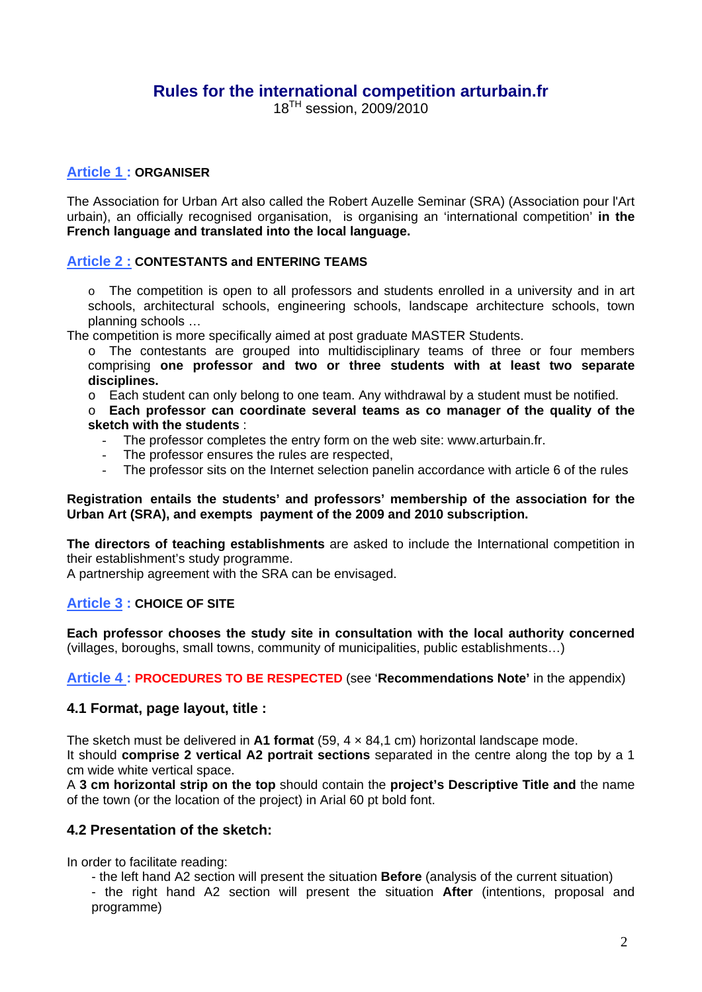# **Rules for the international competition arturbain.fr**

18TH session, 2009/2010

## **Article 1 : ORGANISER**

The Association for Urban Art also called the Robert Auzelle Seminar (SRA) (Association pour l'Art urbain), an officially recognised organisation, is organising an 'international competition' **in the French language and translated into the local language.** 

## **Article 2 : CONTESTANTS and ENTERING TEAMS**

 $\circ$  The competition is open to all professors and students enrolled in a university and in art schools, architectural schools, engineering schools, landscape architecture schools, town planning schools …

The competition is more specifically aimed at post graduate MASTER Students.

o The contestants are grouped into multidisciplinary teams of three or four members comprising **one professor and two or three students with at least two separate disciplines.** 

o Each student can only belong to one team. Any withdrawal by a student must be notified.

o **Each professor can coordinate several teams as co manager of the quality of the sketch with the students** :

- The professor completes the entry form on the web site: www.arturbain.fr.
- The professor ensures the rules are respected,
- The professor sits on the Internet selection panelin accordance with article 6 of the rules

#### **Registration entails the students' and professors' membership of the association for the Urban Art (SRA), and exempts payment of the 2009 and 2010 subscription.**

**The directors of teaching establishments** are asked to include the International competition in their establishment's study programme.

A partnership agreement with the SRA can be envisaged.

## **Article 3 : CHOICE OF SITE**

**Each professor chooses the study site in consultation with the local authority concerned**  (villages, boroughs, small towns, community of municipalities, public establishments…)

**Article 4 : PROCEDURES TO BE RESPECTED** (see '**Recommendations Note'** in the appendix)

## **4.1 Format, page layout, title :**

The sketch must be delivered in **A1 format** (59, 4 × 84,1 cm) horizontal landscape mode.

It should **comprise 2 vertical A2 portrait sections** separated in the centre along the top by a 1 cm wide white vertical space.

A **3 cm horizontal strip on the top** should contain the **project's Descriptive Title and** the name of the town (or the location of the project) in Arial 60 pt bold font.

## **4.2 Presentation of the sketch:**

In order to facilitate reading:

- the left hand A2 section will present the situation **Before** (analysis of the current situation)

- the right hand A2 section will present the situation **After** (intentions, proposal and programme)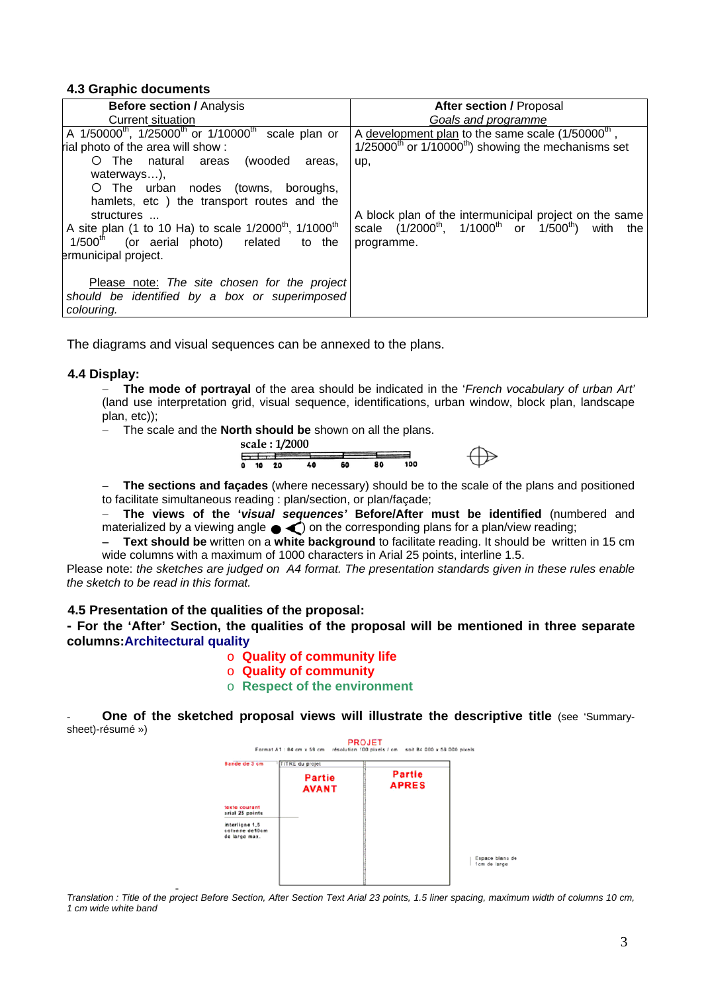#### **4.3 Graphic documents**

| <b>Before section / Analysis</b>                                                                                                                                                                                              | <b>After section / Proposal</b>                                                                                                       |
|-------------------------------------------------------------------------------------------------------------------------------------------------------------------------------------------------------------------------------|---------------------------------------------------------------------------------------------------------------------------------------|
| Current situation                                                                                                                                                                                                             | Goals and programme                                                                                                                   |
| A 1/50000 <sup>th</sup> , 1/25000 <sup>th</sup> or 1/10000 <sup>th</sup> scale plan or<br>rial photo of the area will show:<br>O The natural areas<br>(wooded<br>areas.<br>waterways),<br>O The urban nodes (towns, boroughs, | A development plan to the same scale $(1/50000th)$ ,<br>$1/25000^{th}$ or $1/10000^{th}$ ) showing the mechanisms set<br>up,          |
| hamlets, etc) the transport routes and the<br>structures<br>A site plan (1 to 10 Ha) to scale $1/2000^{th}$ , $1/1000^{th}$<br>$1/500th$ (or aerial photo) related to the<br>ermunicipal project.                             | A block plan of the intermunicipal project on the same<br>scale $(1/2000^{th}, 1/1000^{th})$ or $1/500^{th}$ ) with the<br>programme. |
| Please note: The site chosen for the project<br>should be identified by a box or superimposed<br>colouring.                                                                                                                   |                                                                                                                                       |

The diagrams and visual sequences can be annexed to the plans.

#### **4.4 Display:**

− **The mode of portrayal** of the area should be indicated in the '*French vocabulary of urban Art'* (land use interpretation grid, visual sequence, identifications, urban window, block plan, landscape plan, etc));

The scale and the **North should be** shown on all the plans.



− **The sections and façades** (where necessary) should be to the scale of the plans and positioned to facilitate simultaneous reading : plan/section, or plan/façade;

− **The views of the '***visual sequences'* **Before/After must be identified** (numbered and materialized by a viewing angle  $\blacklozenge$  on the corresponding plans for a plan/view reading;

− **Text should be** written on a **white background** to facilitate reading. It should be written in 15 cm wide columns with a maximum of 1000 characters in Arial 25 points, interline 1.5.

Please note: *the sketches are judged on A4 format. The presentation standards given in these rules enable the sketch to be read in this format.* 

#### **4.5 Presentation of the qualities of the proposal:**

**- For the 'After' Section, the qualities of the proposal will be mentioned in three separate columns:Architectural quality** 

#### o **Quality of community life**

- o **Quality of community**
- o **Respect of the environment**

**One of the sketched proposal views will illustrate the descriptive title (see 'Summary**sheet)-résumé »)



- *Translation : Title of the project Before Section, After Section Text Arial 23 points, 1.5 liner spacing, maximum width of columns 10 cm, 1 cm wide white band*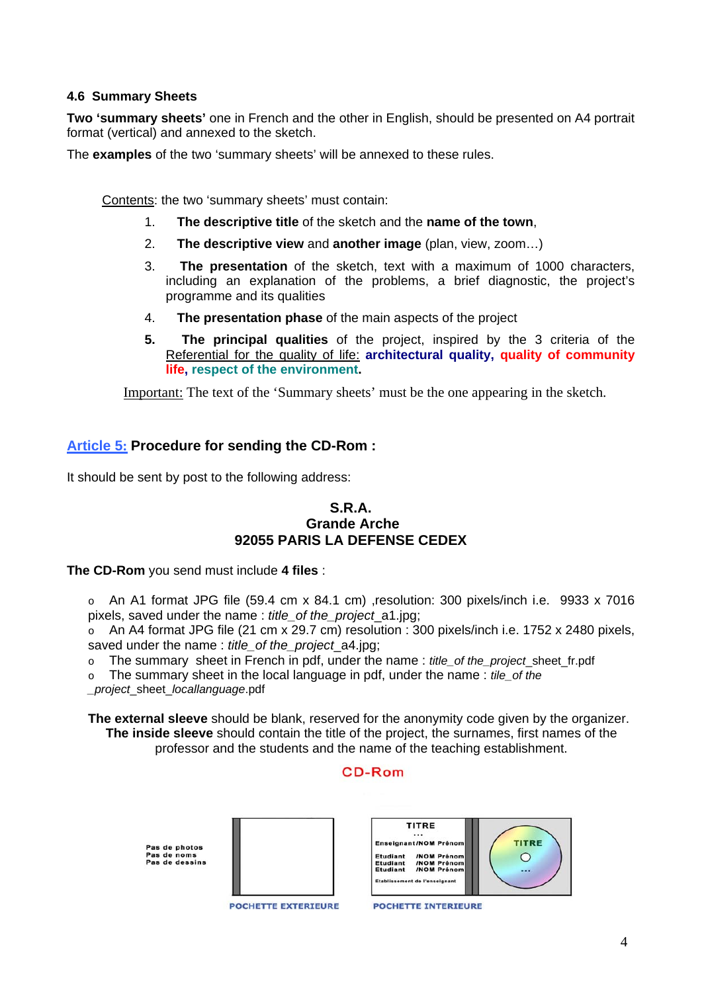## **4.6 Summary Sheets**

**Two 'summary sheets'** one in French and the other in English, should be presented on A4 portrait format (vertical) and annexed to the sketch.

The **examples** of the two 'summary sheets' will be annexed to these rules.

Contents: the two 'summary sheets' must contain:

- 1. **The descriptive title** of the sketch and the **name of the town**,
- 2. **The descriptive view** and **another image** (plan, view, zoom…)
- 3. **The presentation** of the sketch, text with a maximum of 1000 characters, including an explanation of the problems, a brief diagnostic, the project's programme and its qualities
- 4. **The presentation phase** of the main aspects of the project
- **5. The principal qualities** of the project, inspired by the 3 criteria of the Referential for the quality of life: **architectural quality, quality of community life, respect of the environment.**

Important: The text of the 'Summary sheets' must be the one appearing in the sketch.

# **Article 5: Procedure for sending the CD-Rom :**

It should be sent by post to the following address:

## **S.R.A. Grande Arche 92055 PARIS LA DEFENSE CEDEX**

**The CD-Rom** you send must include **4 files** :

o An A1 format JPG file (59.4 cm x 84.1 cm) ,resolution: 300 pixels/inch i.e. 9933 x 7016 pixels, saved under the name : *title\_of the\_project*\_a1.jpg;

 $\circ$  An A4 format JPG file (21 cm x 29.7 cm) resolution : 300 pixels/inch i.e. 1752 x 2480 pixels, saved under the name : *title\_of the\_project*\_a4.jpg;

o The summary sheet in French in pdf, under the name : *title\_of the\_project*\_sheet\_fr.pdf

o The summary sheet in the local language in pdf, under the name : *tile\_of the* 

*\_project*\_sheet\_*locallanguage*.pdf

**The external sleeve** should be blank, reserved for the anonymity code given by the organizer. **The inside sleeve** should contain the title of the project, the surnames, first names of the professor and the students and the name of the teaching establishment.

## CD-Rom

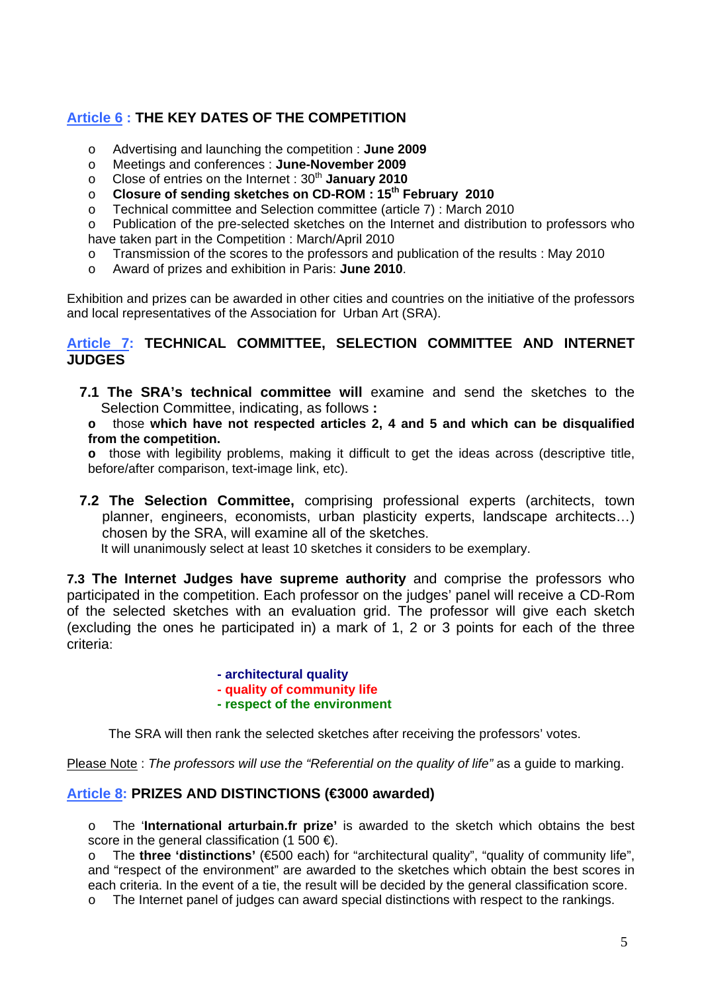# **Article 6 : THE KEY DATES OF THE COMPETITION**

- o Advertising and launching the competition : **June 2009**
- o Meetings and conferences : **June-November 2009**
- o Close of entries on the Internet : 30th **January 2010**
- o **Closure of sending sketches on CD-ROM : 15th February 2010**
- o Technical committee and Selection committee (article 7) : March 2010

o Publication of the pre-selected sketches on the Internet and distribution to professors who have taken part in the Competition : March/April 2010

- o Transmission of the scores to the professors and publication of the results : May 2010
- o Award of prizes and exhibition in Paris: **June 2010**.

Exhibition and prizes can be awarded in other cities and countries on the initiative of the professors and local representatives of the Association for Urban Art (SRA).

# **Article 7: TECHNICAL COMMITTEE, SELECTION COMMITTEE AND INTERNET JUDGES**

**7.1 The SRA's technical committee will** examine and send the sketches to the Selection Committee, indicating, as follows **:** 

**o** those **which have not respected articles 2, 4 and 5 and which can be disqualified from the competition.**

**o** those with legibility problems, making it difficult to get the ideas across (descriptive title, before/after comparison, text-image link, etc).

**7.2 The Selection Committee,** comprising professional experts (architects, town planner, engineers, economists, urban plasticity experts, landscape architects…) chosen by the SRA, will examine all of the sketches.

It will unanimously select at least 10 sketches it considers to be exemplary.

**7.3 The Internet Judges have supreme authority** and comprise the professors who participated in the competition. Each professor on the judges' panel will receive a CD-Rom of the selected sketches with an evaluation grid. The professor will give each sketch (excluding the ones he participated in) a mark of 1, 2 or 3 points for each of the three criteria:

> **- architectural quality - quality of community life - respect of the environment**

The SRA will then rank the selected sketches after receiving the professors' votes.

Please Note: *The professors will use the "Referential on the quality of life"* as a guide to marking.

# **Article 8: PRIZES AND DISTINCTIONS (€3000 awarded)**

o The '**International arturbain.fr prize'** is awarded to the sketch which obtains the best score in the general classification (1 500  $\in$ ).

o The **three 'distinctions'** (€500 each) for "architectural quality", "quality of community life", and "respect of the environment" are awarded to the sketches which obtain the best scores in each criteria. In the event of a tie, the result will be decided by the general classification score.

o The Internet panel of judges can award special distinctions with respect to the rankings.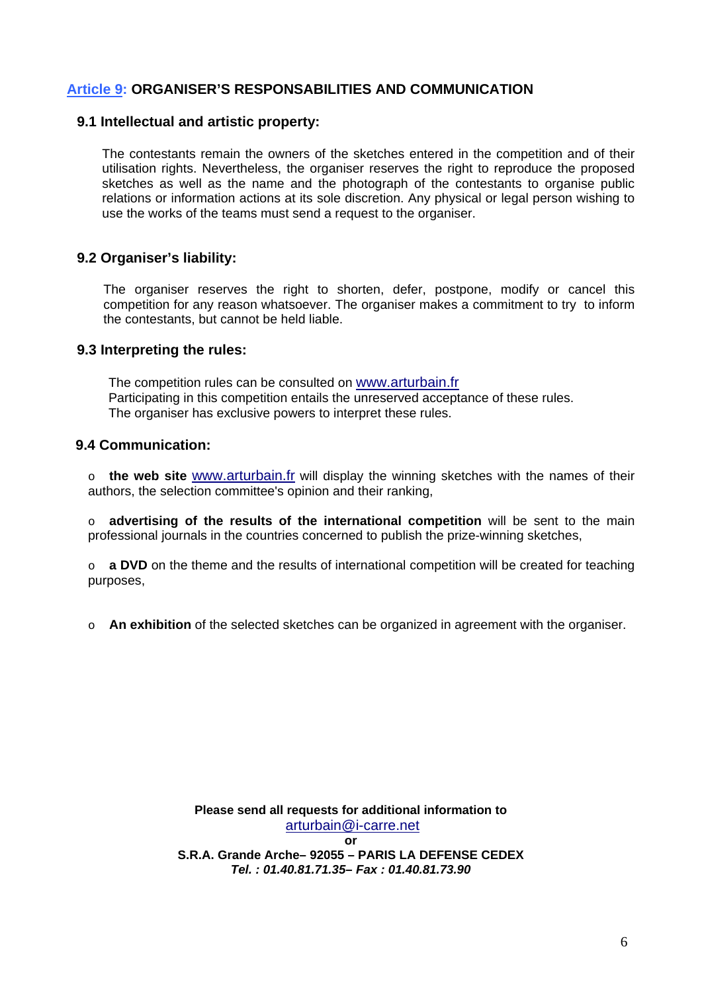# **Article 9: ORGANISER'S RESPONSABILITIES AND COMMUNICATION**

#### **9.1 Intellectual and artistic property:**

The contestants remain the owners of the sketches entered in the competition and of their utilisation rights. Nevertheless, the organiser reserves the right to reproduce the proposed sketches as well as the name and the photograph of the contestants to organise public relations or information actions at its sole discretion. Any physical or legal person wishing to use the works of the teams must send a request to the organiser.

## **9.2 Organiser's liability:**

The organiser reserves the right to shorten, defer, postpone, modify or cancel this competition for any reason whatsoever. The organiser makes a commitment to try to inform the contestants, but cannot be held liable.

#### **9.3 Interpreting the rules:**

The competition rules can be consulted on [www.arturbain.fr](http://www.arturbain.fr/) Participating in this competition entails the unreserved acceptance of these rules. The organiser has exclusive powers to interpret these rules.

## **9.4 Communication:**

o **the web site** [www.arturbain.fr](http://www.arturbain.fr/) will display the winning sketches with the names of their authors, the selection committee's opinion and their ranking,

o **advertising of the results of the international competition** will be sent to the main professional journals in the countries concerned to publish the prize-winning sketches,

o **a DVD** on the theme and the results of international competition will be created for teaching purposes,

o **An exhibition** of the selected sketches can be organized in agreement with the organiser.

**Please send all requests for additional information to**  [arturbain@i-carre.net](mailto:arturbain@i-carre.net)

**or S.R.A. Grande Arche– 92055 – PARIS LA DEFENSE CEDEX**  *Tel. : 01.40.81.71.35– Fax : 01.40.81.73.90*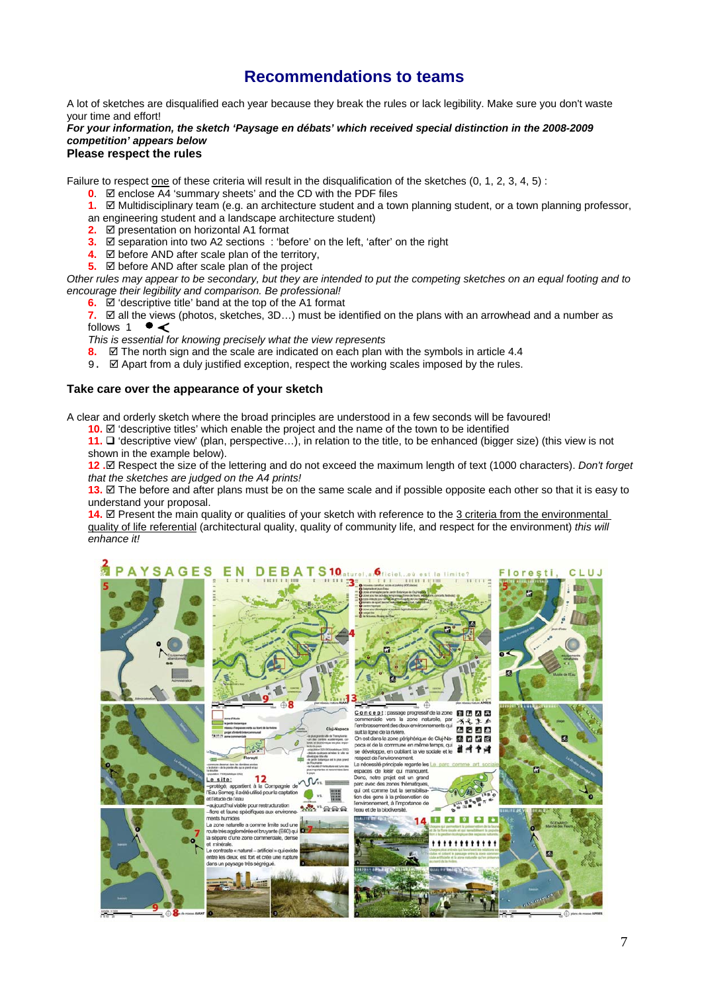# **Recommendations to teams**

A lot of sketches are disqualified each year because they break the rules or lack legibility. Make sure you don't waste your time and effort!

#### *For your information, the sketch 'Paysage en débats' which received special distinction in the 2008-2009 competition' appears below*

#### **Please respect the rules**

Failure to respect one of these criteria will result in the disqualification of the sketches (0, 1, 2, 3, 4, 5) :

- $\overline{0}$ .  $\overline{\boxtimes}$  enclose  $\overline{\mathrm{A4}}$  'summary sheets' and the CD with the PDF files
- **1.**  $\Box$  Multidisciplinary team (e.g. an architecture student and a town planning student, or a town planning professor,
- an engineering student and a landscape architecture student)
- **2. Ø** presentation on horizontal A1 format
- **3.**  $\mathbb{Z}$  separation into two A2 sections : 'before' on the left, 'after' on the right
- **4.**  $\Phi$  before AND after scale plan of the territory,
- **5.**  $\boxtimes$  before AND after scale plan of the project

*Other rules may appear to be secondary, but they are intended to put the competing sketches on an equal footing and to encourage their legibility and comparison. Be professional!* 

**6.**  $\Box$  'descriptive title' band at the top of the A1 format

**7.**  $\boxtimes$  all the views (photos, sketches, 3D…) must be identified on the plans with an arrowhead and a number as follows 1 ● < follows 1

*This is essential for knowing precisely what the view represents* 

- **8.**  $\boxtimes$  The north sign and the scale are indicated on each plan with the symbols in article 4.4
- 9.  $\boxtimes$  Apart from a duly justified exception, respect the working scales imposed by the rules.

#### **Take care over the appearance of your sketch**

A clear and orderly sketch where the broad principles are understood in a few seconds will be favoured!

**10.**  $\boxtimes$  'descriptive titles' which enable the project and the name of the town to be identified

**11.**  $\square$  'descriptive view' (plan, perspective...), in relation to the title, to be enhanced (bigger size) (this view is not shown in the example below).

**12 .**; Respect the size of the lettering and do not exceed the maximum length of text (1000 characters). *Don't forget that the sketches are judged on the A4 prints!* 

**13.**  $\Xi$  The before and after plans must be on the same scale and if possible opposite each other so that it is easy to understand your proposal.

**14.**  $\Phi$  Present the main quality or qualities of your sketch with reference to the 3 criteria from the environmental quality of life referential (architectural quality, quality of community life, and respect for the environment) *this will enhance it!* 

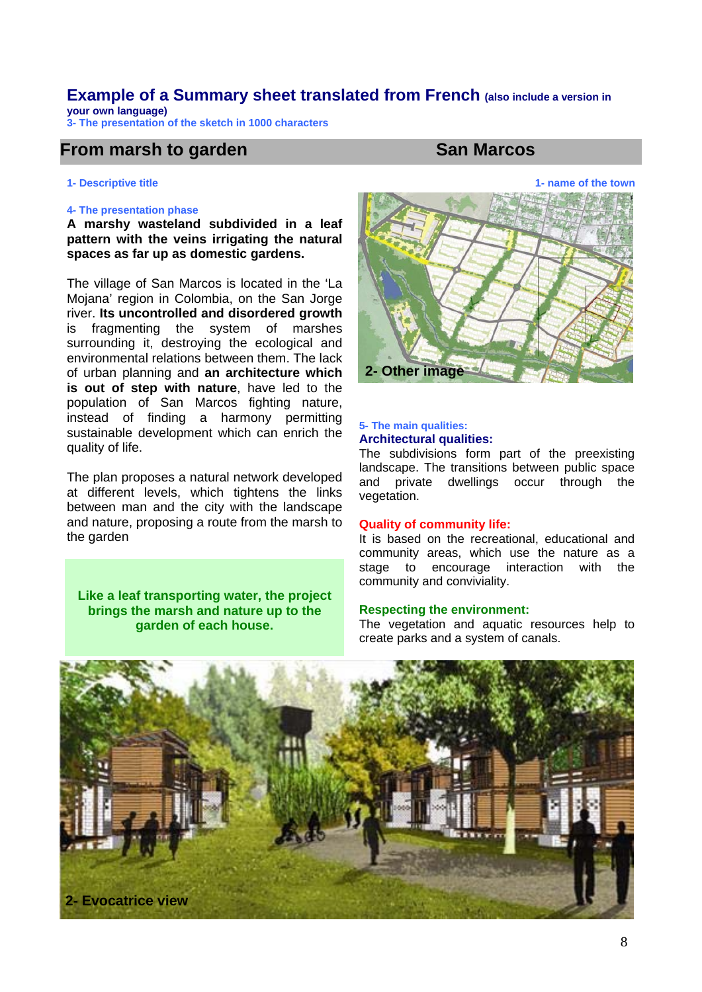#### **Example of a Summary sheet translated from French (also include a version in your own language)**

**3- The presentation of the sketch in 1000 characters** 

# **From marsh to garden San Marcos San Marcos**

## **1- Descriptive title 1- name of the town 1- name of the town 1- name of the town**

#### **4- The presentation phase**

**A marshy wasteland subdivided in a leaf pattern with the veins irrigating the natural spaces as far up as domestic gardens.** 

The village of San Marcos is located in the 'La Mojana' region in Colombia, on the San Jorge river. **Its uncontrolled and disordered growth** is fragmenting the system of marshes surrounding it, destroying the ecological and environmental relations between them. The lack of urban planning and **an architecture which is out of step with nature**, have led to the population of San Marcos fighting nature, instead of finding a harmony permitting sustainable development which can enrich the quality of life.

The plan proposes a natural network developed at different levels, which tightens the links between man and the city with the landscape and nature, proposing a route from the marsh to the garden

**Like a leaf transporting water, the project brings the marsh and nature up to the garden of each house.** 



#### **5- The main qualities: Architectural qualities:**

The subdivisions form part of the preexisting landscape. The transitions between public space and private dwellings occur through the vegetation.

#### **Quality of community life:**

It is based on the recreational, educational and community areas, which use the nature as a stage to encourage interaction with the community and conviviality.

#### **Respecting the environment:**

The vegetation and aquatic resources help to create parks and a system of canals.